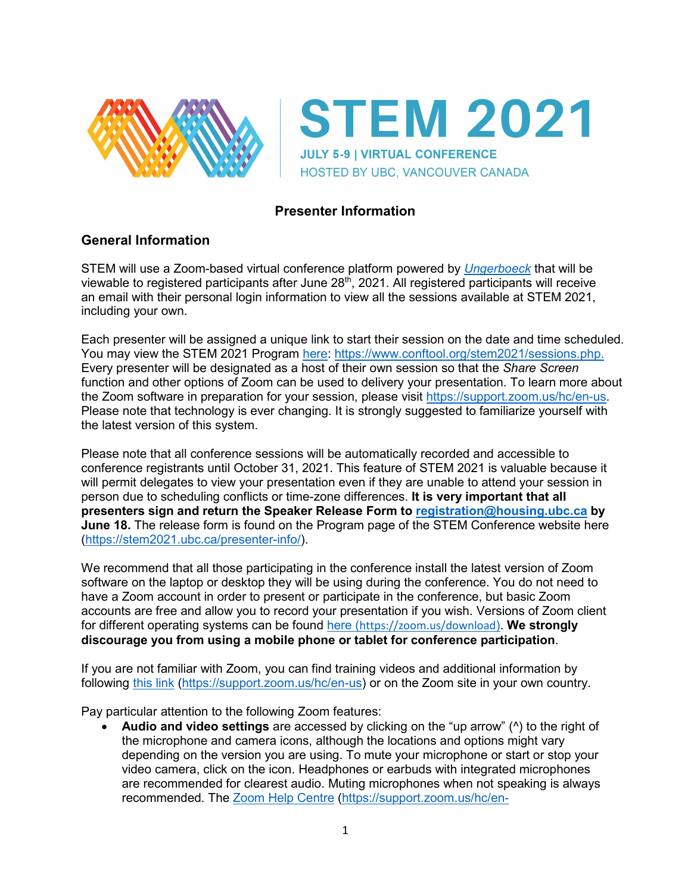

**STEM 2021 JULY 5-9 | VIRTUAL CONFERENCE** HOSTED BY UBC, VANCOUVER CANADA

# **Presenter Information**

## **General Information**

STEM will use a Zoom-based virtual conference platform powered by *[Ungerboeck](https://ungerboeck.com/)* that will be viewable to registered participants after June 28<sup>th</sup>, 2021. All registered participants will receive an email with their personal login information to view all the sessions available at STEM 2021, including your own.

Each presenter will be assigned a unique link to start their session on the date and time scheduled. You may view the STEM 2021 Program [here: https://www.conftool.org/stem2021/sessions.php.](https://www.conftool.org/stem2021/sessions.php) Every presenter will be designated as a host of their own session so that the *Share Screen* function and other options of Zoom can be used to delivery your presentation. To learn more about the Zoom software in preparation for your session, please visit [https://support.zoom.us/hc/en-us.](https://support.zoom.us/hc/en-us) Please note that technology is ever changing. It is strongly suggested to familiarize yourself with the latest version of this system.

Please note that all conference sessions will be automatically recorded and accessible to conference registrants until October 31, 2021. This feature of STEM 2021 is valuable because it will permit delegates to view your presentation even if they are unable to attend your session in person due to scheduling conflicts or time-zone differences. **It is very important that all presenters sign and return the Speaker Release Form to [registration@housing.ubc.ca](mailto:registration@housing.ubc.ca) by June 18.** The release form is found on the Program page of the STEM Conference website here [\(https://stem2021.ubc.ca/presenter-info/\)](https://stem2021.ubc.ca/presenter-info/).

We recommend that all those participating in the conference install the latest version of Zoom software on the laptop or desktop they will be using during the conference. You do not need to have a Zoom account in order to present or participate in the conference, but basic Zoom accounts are free and allow you to record your presentation if you wish. Versions of Zoom client for different operating systems can be found [here](https://zoom.us/download) (<https://zoom.us/download>). **We strongly discourage you from using a mobile phone or tablet for conference participation**.

If you are not familiar with Zoom, you can find training videos and additional information by following [this link](https://support.zoom.us/hc/en-us) [\(https://support.zoom.us/hc/en-us\)](https://support.zoom.us/hc/en-us) or on the Zoom site in your own country.

Pay particular attention to the following Zoom features:

• **Audio and video settings** are accessed by clicking on the "up arrow" (^) to the right of the microphone and camera icons, although the locations and options might vary depending on the version you are using. To mute your microphone or start or stop your video camera, click on the icon. Headphones or earbuds with integrated microphones are recommended for clearest audio. Muting microphones when not speaking is always recommended. The [Zoom Help Centre](https://support.zoom.us/hc/en-us/categories/201137166) [\(https://support.zoom.us/hc/en-](https://support.zoom.us/hc/en-us/categories/201137166)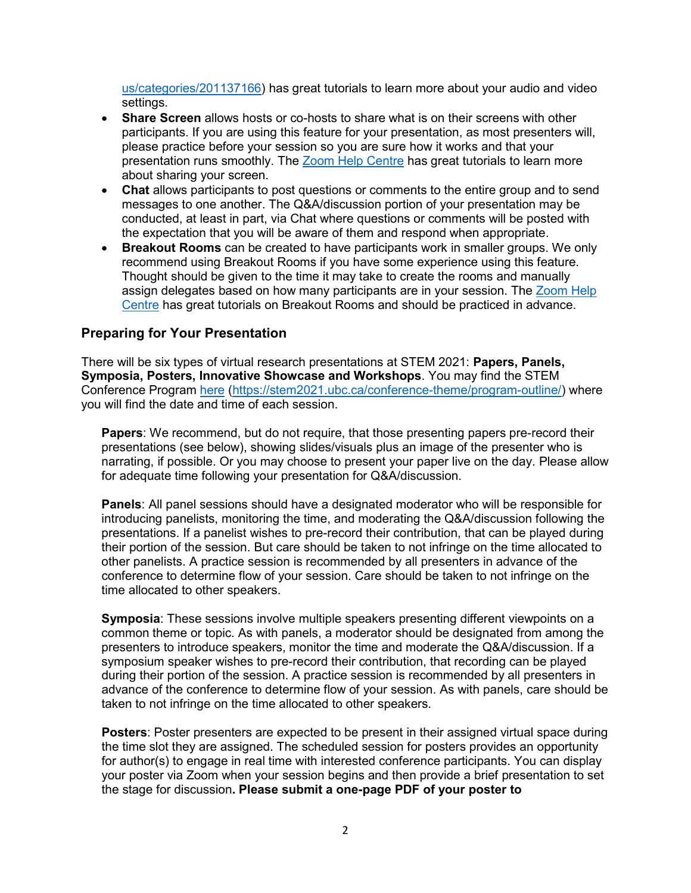[us/categories/201137166\)](https://support.zoom.us/hc/en-us/categories/201137166) has great tutorials to learn more about your audio and video settings.

- **Share Screen** allows hosts or co-hosts to share what is on their screens with other participants. If you are using this feature for your presentation, as most presenters will, please practice before your session so you are sure how it works and that your presentation runs smoothly. The [Zoom Help Centre](https://support.zoom.us/hc/en-us/categories/201137166) has great tutorials to learn more about sharing your screen.
- **Chat** allows participants to post questions or comments to the entire group and to send messages to one another. The Q&A/discussion portion of your presentation may be conducted, at least in part, via Chat where questions or comments will be posted with the expectation that you will be aware of them and respond when appropriate.
- **Breakout Rooms** can be created to have participants work in smaller groups. We only recommend using Breakout Rooms if you have some experience using this feature. Thought should be given to the time it may take to create the rooms and manually assign delegates based on how many participants are in your session. The [Zoom Help](https://support.zoom.us/hc/en-us/articles/206476313-Managing-Breakout-Rooms)  [Centre](https://support.zoom.us/hc/en-us/articles/206476313-Managing-Breakout-Rooms) has great tutorials on Breakout Rooms and should be practiced in advance.

## **Preparing for Your Presentation**

There will be six types of virtual research presentations at STEM 2021: **Papers, Panels, Symposia, Posters, Innovative Showcase and Workshops**. You may find the STEM Conference Program [here](https://stem2021.ubc.ca/conference-theme/program-outline/) [\(https://stem2021.ubc.ca/conference-theme/program-outline/\)](https://stem2021.ubc.ca/conference-theme/program-outline/) where you will find the date and time of each session.

**Papers**: We recommend, but do not require, that those presenting papers pre-record their presentations (see below), showing slides/visuals plus an image of the presenter who is narrating, if possible. Or you may choose to present your paper live on the day. Please allow for adequate time following your presentation for Q&A/discussion.

**Panels**: All panel sessions should have a designated moderator who will be responsible for introducing panelists, monitoring the time, and moderating the Q&A/discussion following the presentations. If a panelist wishes to pre-record their contribution, that can be played during their portion of the session. But care should be taken to not infringe on the time allocated to other panelists. A practice session is recommended by all presenters in advance of the conference to determine flow of your session. Care should be taken to not infringe on the time allocated to other speakers.

**Symposia**: These sessions involve multiple speakers presenting different viewpoints on a common theme or topic. As with panels, a moderator should be designated from among the presenters to introduce speakers, monitor the time and moderate the Q&A/discussion. If a symposium speaker wishes to pre-record their contribution, that recording can be played during their portion of the session. A practice session is recommended by all presenters in advance of the conference to determine flow of your session. As with panels, care should be taken to not infringe on the time allocated to other speakers.

**Posters**: Poster presenters are expected to be present in their assigned virtual space during the time slot they are assigned. The scheduled session for posters provides an opportunity for author(s) to engage in real time with interested conference participants. You can display your poster via Zoom when your session begins and then provide a brief presentation to set the stage for discussion**. Please submit a one-page PDF of your poster to**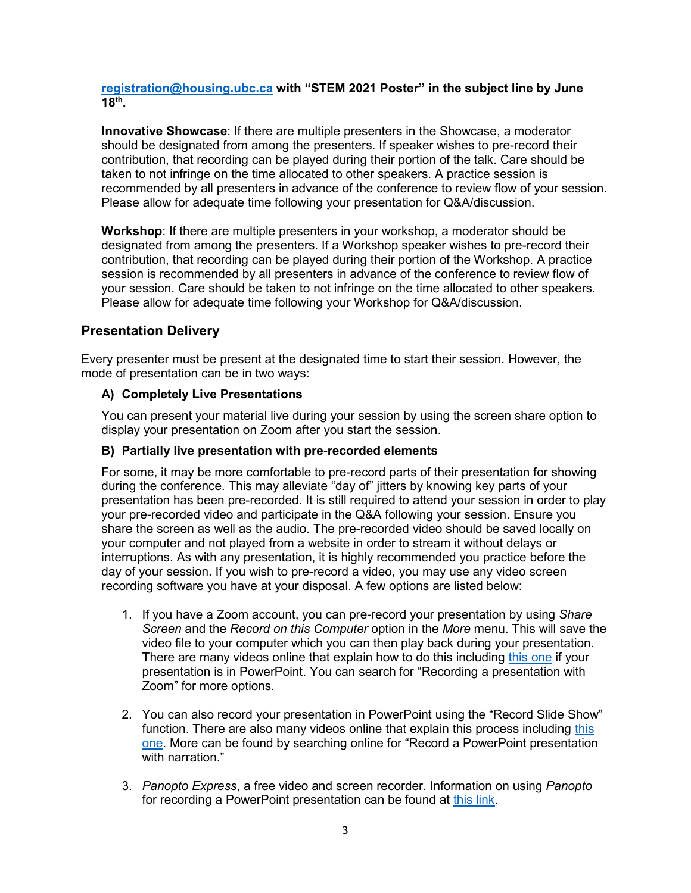**[registration@housing.ubc.ca](mailto:registration@housing.ubc.ca) with "STEM 2021 Poster" in the subject line by June 18th.**

**Innovative Showcase**: If there are multiple presenters in the Showcase, a moderator should be designated from among the presenters. If speaker wishes to pre-record their contribution, that recording can be played during their portion of the talk. Care should be taken to not infringe on the time allocated to other speakers. A practice session is recommended by all presenters in advance of the conference to review flow of your session. Please allow for adequate time following your presentation for Q&A/discussion.

**Workshop**: If there are multiple presenters in your workshop, a moderator should be designated from among the presenters. If a Workshop speaker wishes to pre-record their contribution, that recording can be played during their portion of the Workshop. A practice session is recommended by all presenters in advance of the conference to review flow of your session. Care should be taken to not infringe on the time allocated to other speakers. Please allow for adequate time following your Workshop for Q&A/discussion.

## **Presentation Delivery**

Every presenter must be present at the designated time to start their session. However, the mode of presentation can be in two ways:

#### **A) Completely Live Presentations**

You can present your material live during your session by using the screen share option to display your presentation on Zoom after you start the session.

#### **B) Partially live presentation with pre-recorded elements**

For some, it may be more comfortable to pre-record parts of their presentation for showing during the conference. This may alleviate "day of" jitters by knowing key parts of your presentation has been pre-recorded. It is still required to attend your session in order to play your pre-recorded video and participate in the Q&A following your session. Ensure you share the screen as well as the audio. The pre-recorded video should be saved locally on your computer and not played from a website in order to stream it without delays or interruptions. As with any presentation, it is highly recommended you practice before the day of your session. If you wish to pre-record a video, you may use any video screen recording software you have at your disposal. A few options are listed below:

- 1. If you have a Zoom account, you can pre-record your presentation by using *Share Screen* and the *Record on this Computer* option in the *More* menu. This will save the video file to your computer which you can then play back during your presentation. There are many videos online that explain how to do this including [this one](https://www.google.com/search?rlz=1C1GGRV_enCA775CA775&sxsrf=ALeKk02BSBc5DBROTkly7avVI9yVdDY7Wg:1618597634796&q=How+to+use+Zoom+to+record+a+video+with+PowerPoint+presentation&sa=X&ved=2ahUKEwibirmIsoPwAhUaa80KHUNqDY4Q1QIwGnoECDIQAQ&biw=1897&bih=944#kpvalbx=_S9d5YOuBDNe_tQaU7qWIBw17) if your presentation is in PowerPoint. You can search for "Recording a presentation with Zoom" for more options.
- 2. You can also record your presentation in PowerPoint using the "Record Slide Show" function. There are also many videos online that explain this process including [this](https://support.microsoft.com/en-us/office/record-a-slide-show-with-narration-and-slide-timings-0b9502c6-5f6c-40ae-b1e7-e47d8741161c)  [one.](https://support.microsoft.com/en-us/office/record-a-slide-show-with-narration-and-slide-timings-0b9502c6-5f6c-40ae-b1e7-e47d8741161c) More can be found by searching online for "Record a PowerPoint presentation with narration."
- 3. *Panopto Express*, a free video and screen recorder. Information on using *Panopto* for recording a PowerPoint presentation can be found at [this link.](https://www.panopto.com/blog/the-best-way-to-record-a-powerpoint-presentation/)